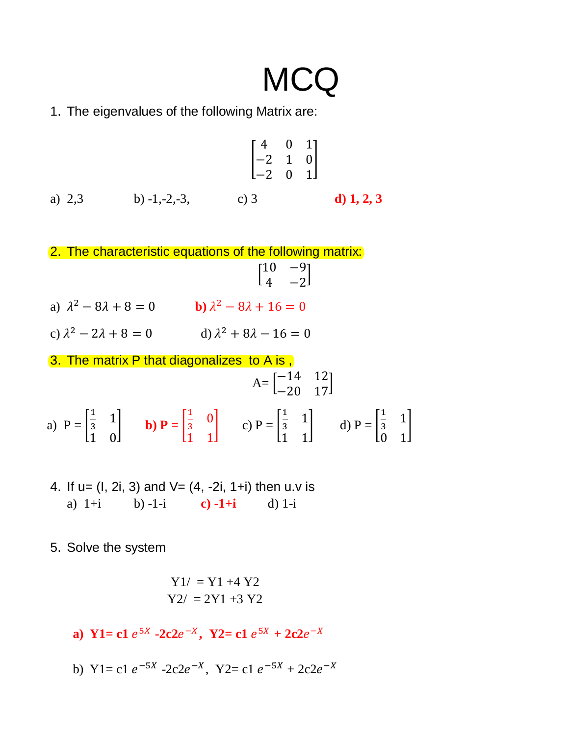# **MCQ**

1. The eigenvalues of the following Matrix are:

$$
\begin{bmatrix} 4 & 0 & 1 \ -2 & 1 & 0 \ -2 & 0 & 1 \end{bmatrix}
$$
  
a) 2,3  
b) -1,-2,-3,  
c) 3  
d) 1, 2, 3

2. The characteristic equations of the following matrix:  $\begin{bmatrix} 10 & -9 \\ 4 & 2 \end{bmatrix}$  $4 -2$ ]

- a)  $\lambda^2 8\lambda + 8 = 0$  **b**)  $\lambda^2 8\lambda + 16 = 0$
- c)  $\lambda^2 2\lambda + 8 = 0$  d)  $\lambda^2 + 8\lambda 16 = 0$

3. The matrix P that diagonalizes to A is ,  $A = \begin{bmatrix} -14 & 12 \\ -20 & 17 \end{bmatrix}$ a)  $P = \vert$ 1  $\frac{1}{3}$  1 1 0  $\vert$  **b**)  $\mathbf{P} = \vert$ 1  $rac{1}{3}$  0 1 1  $|$  c) P =  $|$ 1  $\frac{1}{3}$  1 1 1  $\vert$  d) P =  $\vert$ 1  $\frac{1}{3}$  1 0 1  $\mathsf{I}$ 

- 4. If  $u = (1, 2i, 3)$  and  $V = (4, -2i, 1+i)$  then u.v is a) 1+i b) -1-i **c) -1+i** d) 1-i
- 5. Solve the system

$$
Y1/ = Y1 + 4 Y2
$$
  
 $Y2/ = 2Y1 + 3 Y2$ 

- **a**) **Y**1= **c**1  $e^{5X}$  **-2c2** $e^{-X}$ , **Y2**= **c1**  $e^{5X}$  + 2**c2** $e^{-X}$
- b)  $Y1 = c1 e^{-5X} 2c2e^{-X}$ ,  $Y2 = c1 e^{-5X} + 2c2e^{-X}$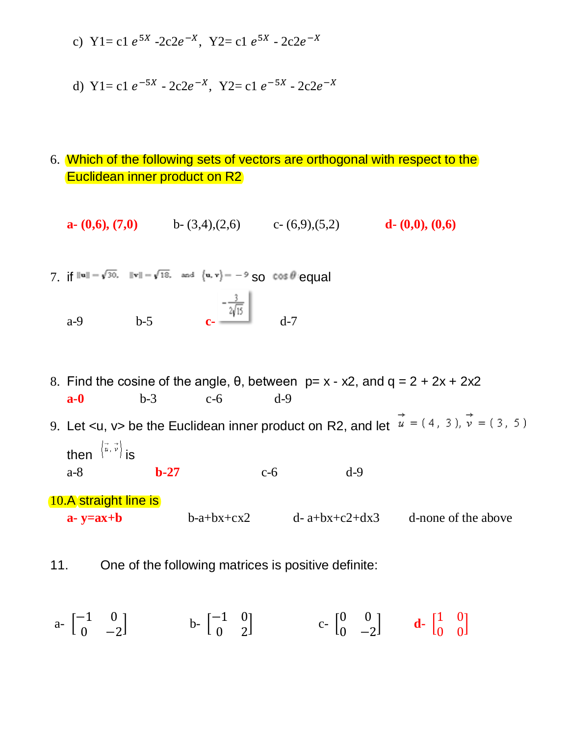- c)  $Y1 = c1 e^{5X} 2c2e^{-X}$ ,  $Y2 = c1 e^{5X} 2c2e^{-X}$
- d)  $Y1 = c1 e^{-5X} 2c2e^{-X}$ ,  $Y2 = c1 e^{-5X} 2c2e^{-X}$
- 6. Which of the following sets of vectors are orthogonal with respect to the Euclidean inner product on R2
	- **a-**  $(0,6)$ ,  $(7,0)$  b- $(3,4)$ , $(2,6)$  c- $(6,9)$ , $(5,2)$  **d-**  $(0,0)$ ,  $(0,6)$
- 7. if  $\|u\| = \sqrt{30}$ .  $\|v\| = \sqrt{18}$ . and  $\{u, v\} = -9$  SO  $\cos \theta$  equal a-9 **b**-5 **c-**  $\frac{-\frac{3}{2\sqrt{15}}}{\frac{1}{2\sqrt{15}}}$  d-7
- 8. Find the cosine of the angle,  $\theta$ , between  $p = x x^2$ , and  $q = 2 + 2x + 2x^2$ **a-0** b-3 c-6 d-9

9. Let <u, v> be the Euclidean inner product on R2, and let  $\vec{u} = (4, 3), \vec{v} = (3, 5)$ then  $\left\langle \vec{u}, \vec{v} \right\rangle$  is a-8 **b-27** c-6 d-9

10.A straight line is

**a- y=ax+b** b-a+bx+cx2 d- a+bx+c2+dx3 d-none of the above

11. One of the following matrices is positive definite:

 $a - \begin{bmatrix} -1 & 0 \\ 0 & 0 \end{bmatrix}$  $0 -2$  $\begin{bmatrix} -1 & 0 \\ 0 & 3 \end{bmatrix}$ 0 2  $\begin{bmatrix} 0 & 0 \\ 0 & 0 \end{bmatrix}$  $0 -2$  $\begin{bmatrix} 1 & 0 \\ 0 & 0 \end{bmatrix}$ 0 0 ]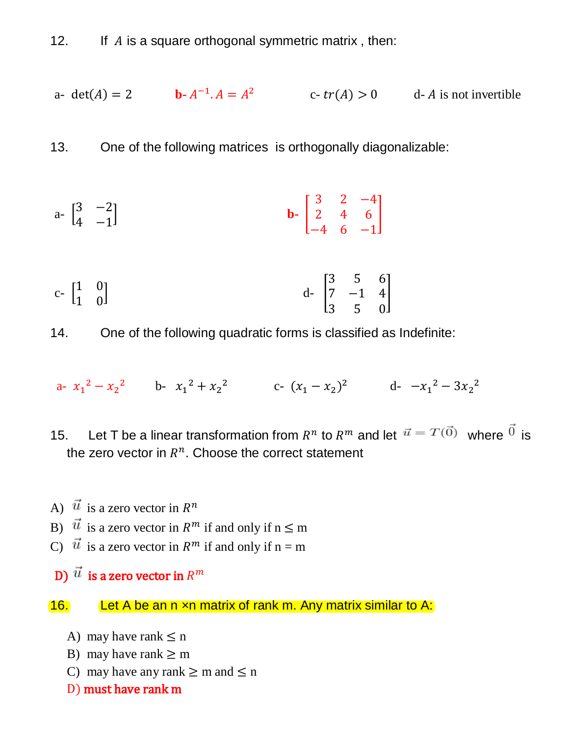12. If  $\overline{A}$  is a square orthogonal symmetric matrix, then:

a- 
$$
det(A) = 2
$$
 b-  $A^{-1}$ .  $A = A^2$  c-  $tr(A) > 0$  d- A is not invertible

13. One of the following matrices is orthogonally diagonalizable:

a- 
$$
\begin{bmatrix} 3 & -2 \\ 4 & -1 \end{bmatrix}
$$
 b-  $\begin{bmatrix} 3 & 2 & -4 \\ 2 & 4 & 6 \\ -4 & 6 & -1 \end{bmatrix}$ 

c- 
$$
\begin{bmatrix} 1 & 0 \\ 1 & 0 \end{bmatrix}
$$
 d-  $\begin{bmatrix} 3 & 5 & 6 \\ 7 & -1 & 4 \\ 3 & 5 & 0 \end{bmatrix}$ 

14. One of the following quadratic forms is classified as Indefinite:

a-  $x_1^2 - x_2^2$  b-  $x_1^2 + x_2^2$  c-  $(x_1 - x_2)^2$  d-  $-x_1^2 - 3x_2^2$ 

- 15. Let T be a linear transformation from  $R^n$  to  $R^m$  and let  $\vec{u} = T(0)$  where  $\vec{v}$  is the zero vector in  $R^n$ . Choose the correct statement
- A)  $\vec{u}$  is a zero vector in  $R^n$
- B)  $\vec{u}$  is a zero vector in  $R^m$  if and only if  $n \le m$
- C)  $\vec{u}$  is a zero vector in  $R^m$  if and only if n = m
- D)  $\vec{u}$  is a zero vector in  $R^m$

16. Let A be an n xn matrix of rank m. Any matrix similar to A:

- A) may have rank  $\leq$  n
- B) may have rank  $\geq$  m
- C) may have any rank  $\geq$  m and  $\leq$  n
- D) must have rank m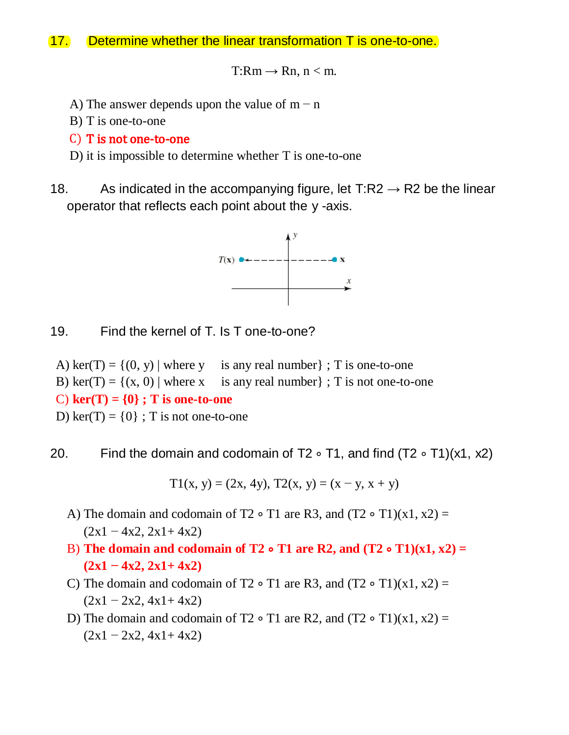### 17. Determine whether the linear transformation T is one-to-one.

 $T:Rm \rightarrow Rn, n < m$ .

- A) The answer depends upon the value of  $m n$
- B) T is one-to-one

#### C) T is not one-to-one

- D) it is impossible to determine whether T is one-to-one
- 18. As indicated in the accompanying figure, let T:R2  $\rightarrow$  R2 be the linear operator that reflects each point about the y -axis.



- 19. Find the kernel of T. Is T one-to-one?
- A) ker(T) =  $\{(0, y) \mid \text{where } y \text{ is any real number}\}\;$ ; T is one-to-one
- B) ker(T) =  $\{(x, 0) \mid \text{where } x \text{ is any real number } \}$ ; T is not one-to-one

C)  $\text{ker}(T) = \{0\}$ ; T is one-to-one

D) ker(T) =  $\{0\}$ ; T is not one-to-one

20. Find the domain and codomain of T2 ∘ T1, and find (T2 ∘ T1)(x1, x2)

T1(x, y) = (2x, 4y), T2(x, y) = (x – y, x + y)

- A) The domain and codomain of T2 ∘ T1 are R3, and  $(T2 \circ T1)(x1, x2) =$  $(2x1 - 4x2, 2x1 + 4x2)$
- B) **The domain and codomain of T2** ∘ **T1 are R2, and (T2** ∘ **T1)(x1, x2) = (2x1 − 4x2, 2x1+ 4x2)**
- C) The domain and codomain of T2 ∘ T1 are R3, and  $(T2 \circ T1)(x1, x2) =$  $(2x1 - 2x2, 4x1 + 4x2)$
- D) The domain and codomain of T2 ∘ T1 are R2, and  $(T2 \circ T1)(x1, x2) =$  $(2x1 - 2x2, 4x1 + 4x2)$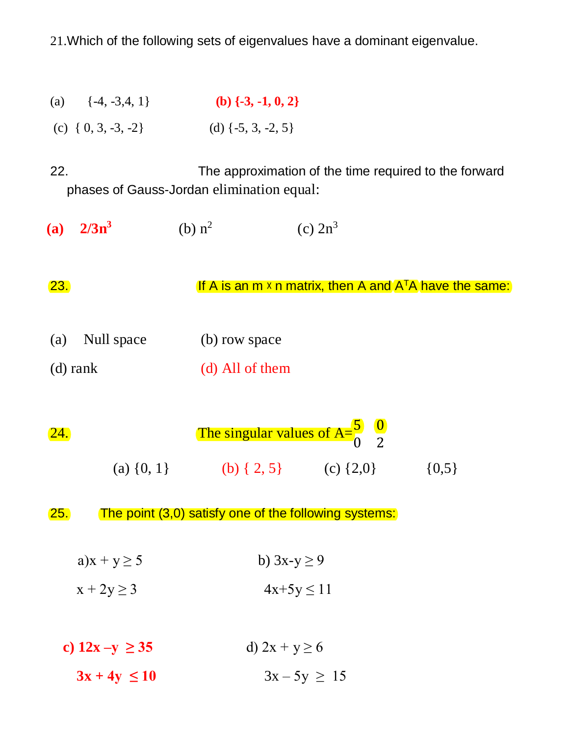21.Which of the following sets of eigenvalues have a dominant eigenvalue.

(a)  $\{-4, -3, 4, 1\}$  **(b)**  $\{-3, -1, 0, 2\}$ (c)  $\{0, 3, -3, -2\}$  (d)  $\{-5, 3, -2, 5\}$ 

22. The approximation of the time required to the forward phases of Gauss-Jordan elimination equal:

**(a) 2/3n<sup>3</sup>** (b)  $n^2$ (c)  $2n^3$ 

23. **If A is an m**  $\times$  n matrix, then A and  $A<sup>T</sup>A$  have the same:

- (a) Null space (b) row space
- (d) rank (d) All of them

| 24. |                | The singular values of $A=\begin{bmatrix} 5 & 0 \\ 0 & 2 \end{bmatrix}$ |               |           |  |  |
|-----|----------------|-------------------------------------------------------------------------|---------------|-----------|--|--|
|     | (a) $\{0, 1\}$ | (b) $\{2, 5\}$                                                          | (c) $\{2,0\}$ | $\{0,5\}$ |  |  |

25. The point (3,0) satisfy one of the following systems:

- a) $x + y \ge 5$  b)  $3x-y \ge 9$
- $x + 2y \ge 3$  4x+5y  $\le 11$
- **c**)  $12x y \ge 35$  d)  $2x + y \ge 6$  $3x + 4y \le 10$   $3x - 5y \ge 15$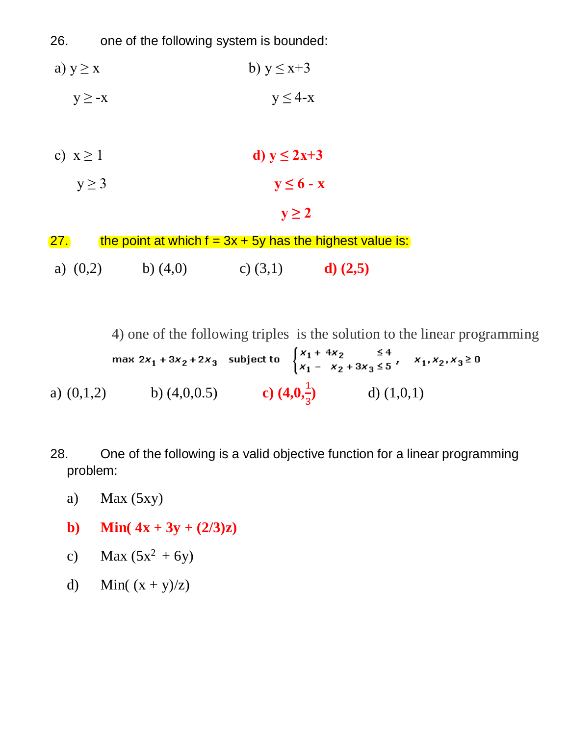26. one of the following system is bounded:

- a)  $y \ge x$  b)  $y \le x+3$ 
	- $y \ge -x$  y  $\le 4-x$
- c)  $x \ge 1$  **d**)  $y \le 2x+3$

$$
y \ge 3 \qquad y \le 6 - x
$$

 $y \geq 2$ 

| <u>27.</u> |            |            | the point at which $f = 3x + 5y$ has the highest value is: |            |  |
|------------|------------|------------|------------------------------------------------------------|------------|--|
|            | a) $(0,2)$ | b) $(4,0)$ | c) $(3,1)$                                                 | $d)$ (2,5) |  |

4) one of the following triples is the solution to the linear programming

|              | max $2x_1 + 3x_2 + 2x_3$ subject to |                        | $\begin{cases} x_1 + 4x_2 & \leq 4 \\ x_1 - x_2 + 3x_3 \leq 5 \end{cases}$ , $x_1, x_2, x_3 \geq 0$ |  |
|--------------|-------------------------------------|------------------------|-----------------------------------------------------------------------------------------------------|--|
| a) $(0,1,2)$ | b) $(4,0,0.5)$                      | c) $(4,0,\frac{1}{3})$ | d) $(1,0,1)$                                                                                        |  |

- 28. One of the following is a valid objective function for a linear programming problem:
	- a) Max (5xy)
	- **b**) **Min(**  $4x + 3y + (2/3)z$ )
	- c) Max  $(5x^2 + 6y)$
	- d) Min(  $(x + y)/z$ )